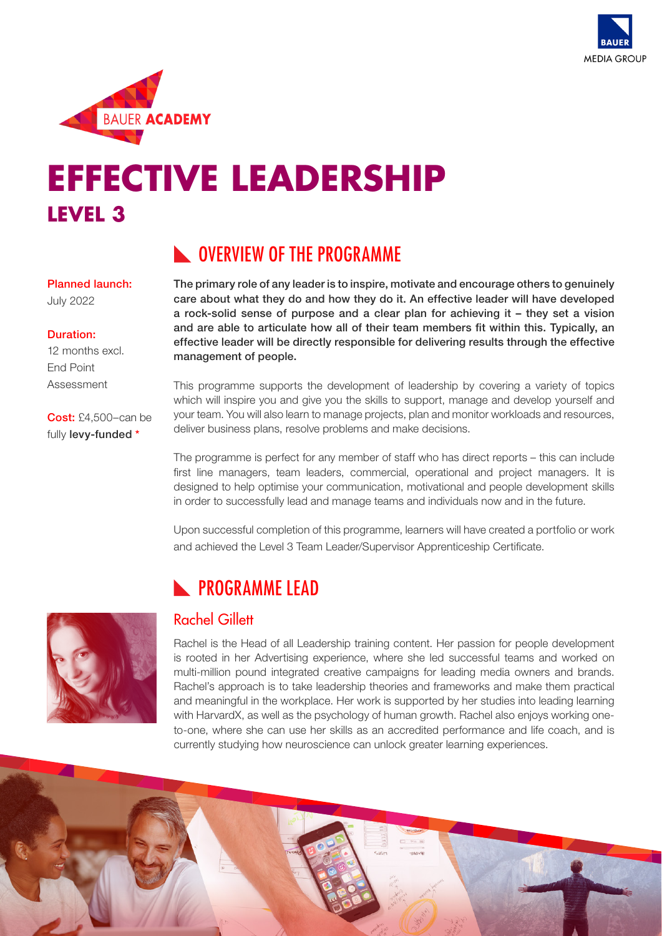



# **EFFECTIVE LEADERSHIP LEVEL 3**

### **NUMBER OVERVIEW OF THE PROGRAMME**

The primary role of any leader is to inspire, motivate and encourage others to genuinely care about what they do and how they do it. An effective leader will have developed a rock-solid sense of purpose and a clear plan for achieving it – they set a vision and are able to articulate how all of their team members fit within this. Typically, an effective leader will be directly responsible for delivering results through the effective management of people.

This programme supports the development of leadership by covering a variety of topics which will inspire you and give you the skills to support, manage and develop yourself and your team. You will also learn to manage projects, plan and monitor workloads and resources, deliver business plans, resolve problems and make decisions.

The programme is perfect for any member of staff who has direct reports – this can include first line managers, team leaders, commercial, operational and project managers. It is designed to help optimise your communication, motivational and people development skills in order to successfully lead and manage teams and individuals now and in the future.

Upon successful completion of this programme, learners will have created a portfolio or work and achieved the Level 3 Team Leader/Supervisor Apprenticeship Certificate.

## **N** PROGRAMME LEAD

### Rachel Gillett

Rachel is the Head of all Leadership training content. Her passion for people development is rooted in her Advertising experience, where she led successful teams and worked on multi-million pound integrated creative campaigns for leading media owners and brands. Rachel's approach is to take leadership theories and frameworks and make them practical and meaningful in the workplace. Her work is supported by her studies into leading learning with HarvardX, as well as the psychology of human growth. Rachel also enjoys working oneto-one, where she can use her skills as an accredited performance and life coach, and is currently studying how neuroscience can unlock greater learning experiences.

### Planned launch:

July 2022

#### Duration:

12 months excl. End Point Assessment

Cost: £4,500–can be fully levy-funded \*